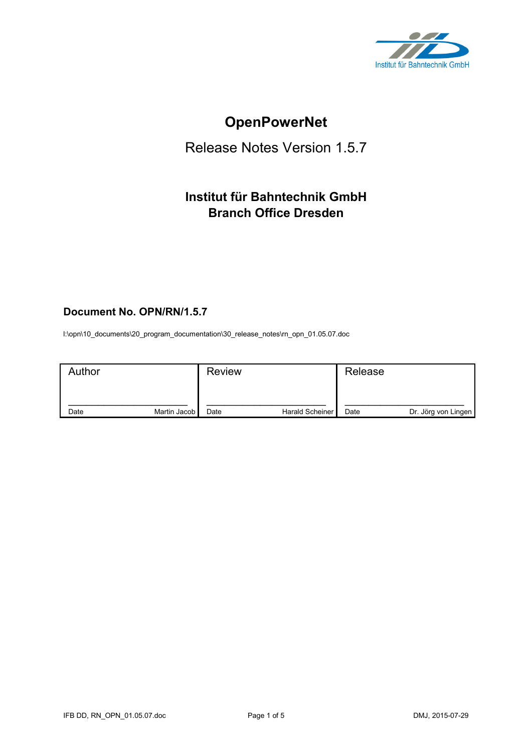

# **OpenPowerNet**

# Release Notes Version 1.5.7

## **Institut für Bahntechnik GmbH Branch Office Dresden**

## **Document No. OPN/RN/1.5.7**

l:\opn\10\_documents\20\_program\_documentation\30\_release\_notes\rn\_opn\_01.05.07.doc

| Author |              | <b>Review</b> |                 | Release |                     |
|--------|--------------|---------------|-----------------|---------|---------------------|
| Date   | Martin Jacob | Date          | Harald Scheiner | Date    | Dr. Jörg von Lingen |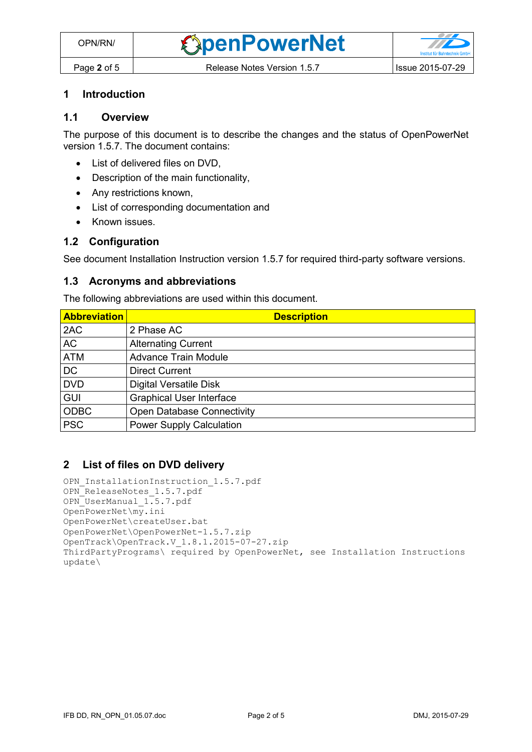#### **1 Introduction**

## **1.1 Overview**

The purpose of this document is to describe the changes and the status of OpenPowerNet version 1.5.7. The document contains:

- List of delivered files on DVD,
- Description of the main functionality,
- Any restrictions known,
- List of corresponding documentation and
- Known issues.

#### **1.2 Configuration**

See document Installation Instruction version 1.5.7 for required third-party software versions.

#### **1.3 Acronyms and abbreviations**

The following abbreviations are used within this document.

| <b>Abbreviation</b> | <b>Description</b>                |
|---------------------|-----------------------------------|
| 2AC                 | 2 Phase AC                        |
| <b>AC</b>           | <b>Alternating Current</b>        |
| <b>ATM</b>          | <b>Advance Train Module</b>       |
| <b>DC</b>           | <b>Direct Current</b>             |
| <b>DVD</b>          | <b>Digital Versatile Disk</b>     |
| <b>GUI</b>          | <b>Graphical User Interface</b>   |
| <b>ODBC</b>         | <b>Open Database Connectivity</b> |
| <b>PSC</b>          | <b>Power Supply Calculation</b>   |

#### **2 List of files on DVD delivery**

```
OPN InstallationInstruction 1.5.7.pdf
OPN_ReleaseNotes_1.5.7.pdf
OPN_UserManual_1.5.7.pdf
OpenPowerNet\my.ini
OpenPowerNet\createUser.bat
OpenPowerNet\OpenPowerNet-1.5.7.zip
OpenTrack\OpenTrack.V_1.8.1.2015-07-27.zip
ThirdPartyPrograms\ required by OpenPowerNet, see Installation Instructions
update\
```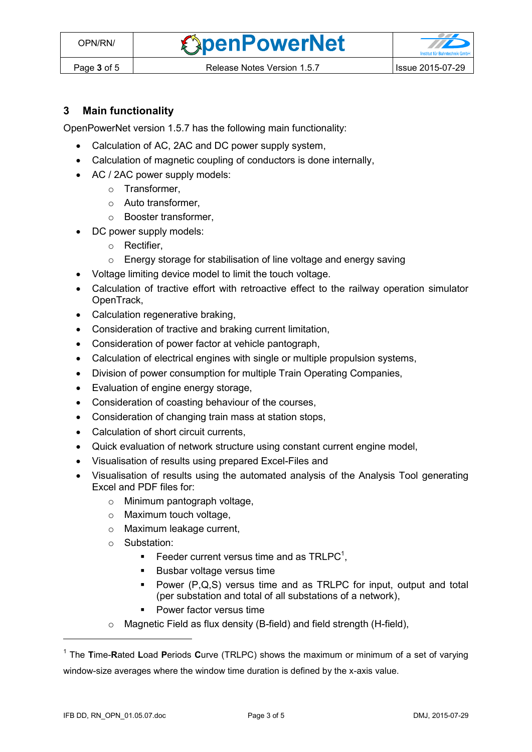**OpenPowerNet** 



## **3 Main functionality**

OpenPowerNet version 1.5.7 has the following main functionality:

- Calculation of AC, 2AC and DC power supply system,
- Calculation of magnetic coupling of conductors is done internally,
- AC / 2AC power supply models:
	- o Transformer,
	- o Auto transformer,
	- o Booster transformer,
	- DC power supply models:
		- o Rectifier,
		- o Energy storage for stabilisation of line voltage and energy saving
- Voltage limiting device model to limit the touch voltage.
- Calculation of tractive effort with retroactive effect to the railway operation simulator OpenTrack,
- Calculation regenerative braking,
- Consideration of tractive and braking current limitation,
- Consideration of power factor at vehicle pantograph,
- Calculation of electrical engines with single or multiple propulsion systems,
- Division of power consumption for multiple Train Operating Companies,
- Evaluation of engine energy storage,
- Consideration of coasting behaviour of the courses,
- Consideration of changing train mass at station stops,
- Calculation of short circuit currents,
- Quick evaluation of network structure using constant current engine model,
- Visualisation of results using prepared Excel-Files and
- <span id="page-2-0"></span> Visualisation of results using the automated analysis of the Analysis Tool generating Excel and PDF files for:
	- o Minimum pantograph voltage,
	- o Maximum touch voltage,
	- o Maximum leakage current,
	- o Substation:
		- Feeder current versus time and as  $TRLPC<sup>1</sup>$ ,
		- **Busbar voltage versus time**
		- Power (P,Q,S) versus time and as TRLPC for input, output and total (per substation and total of all substations of a network),
		- **•** Power factor versus time
	- o Magnetic Field as flux density (B-field) and field strength (H-field),

 $\overline{a}$ 

<sup>1</sup> The **T**ime-**R**ated **L**oad **P**eriods **C**urve (TRLPC) shows the maximum or minimum of a set of varying window-size averages where the window time duration is defined by the x-axis value.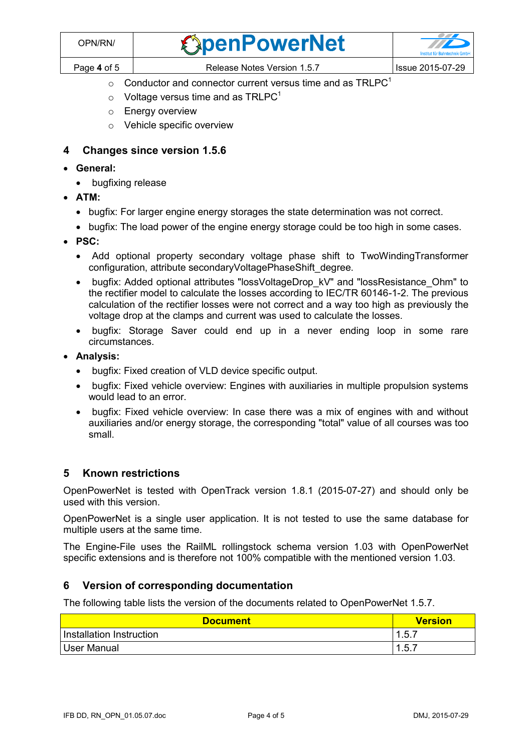| OPN/RN/     | <b><i><u>ExpenPowerNet</u></i></b> | <b>Institut für Bahntechnik GmbH</b> |
|-------------|------------------------------------|--------------------------------------|
| Page 4 of 5 | Release Notes Version 1.5.7        | <b>Issue 2015-07-29</b>              |

- $\circ$  [C](#page-2-0)onductor and connector current versus time and as TRLPC<sup>1</sup>
- $\circ$  Voltage versus time and as TRLPC<sup>[1](#page-2-0)</sup>
- o Energy overview
- o Vehicle specific overview

### **4 Changes since version 1.5.6**

- **General:**
	- bugfixing release
- **ATM:**
	- bugfix: For larger engine energy storages the state determination was not correct.
	- bugfix: The load power of the engine energy storage could be too high in some cases.
- **PSC:** 
	- Add optional property secondary voltage phase shift to TwoWindingTransformer configuration, attribute secondaryVoltagePhaseShift\_degree.
	- bugfix: Added optional attributes "lossVoltageDrop\_kV" and "lossResistance\_Ohm" to the rectifier model to calculate the losses according to IEC/TR 60146-1-2. The previous calculation of the rectifier losses were not correct and a way too high as previously the voltage drop at the clamps and current was used to calculate the losses.
	- bugfix: Storage Saver could end up in a never ending loop in some rare circumstances.
- **Analysis:**
	- bugfix: Fixed creation of VLD device specific output.
	- bugfix: Fixed vehicle overview: Engines with auxiliaries in multiple propulsion systems would lead to an error.
	- bugfix: Fixed vehicle overview: In case there was a mix of engines with and without auxiliaries and/or energy storage, the corresponding "total" value of all courses was too small.

## **5 Known restrictions**

OpenPowerNet is tested with OpenTrack version 1.8.1 (2015-07-27) and should only be used with this version.

OpenPowerNet is a single user application. It is not tested to use the same database for multiple users at the same time.

The Engine-File uses the RailML rollingstock schema version 1.03 with OpenPowerNet specific extensions and is therefore not 100% compatible with the mentioned version 1.03.

## **6 Version of corresponding documentation**

The following table lists the version of the documents related to OpenPowerNet 1.5.7.

| <b>Document</b>          | <b>Version</b> |
|--------------------------|----------------|
| Installation Instruction | 1.5.           |
| User Manual              | .5.7           |